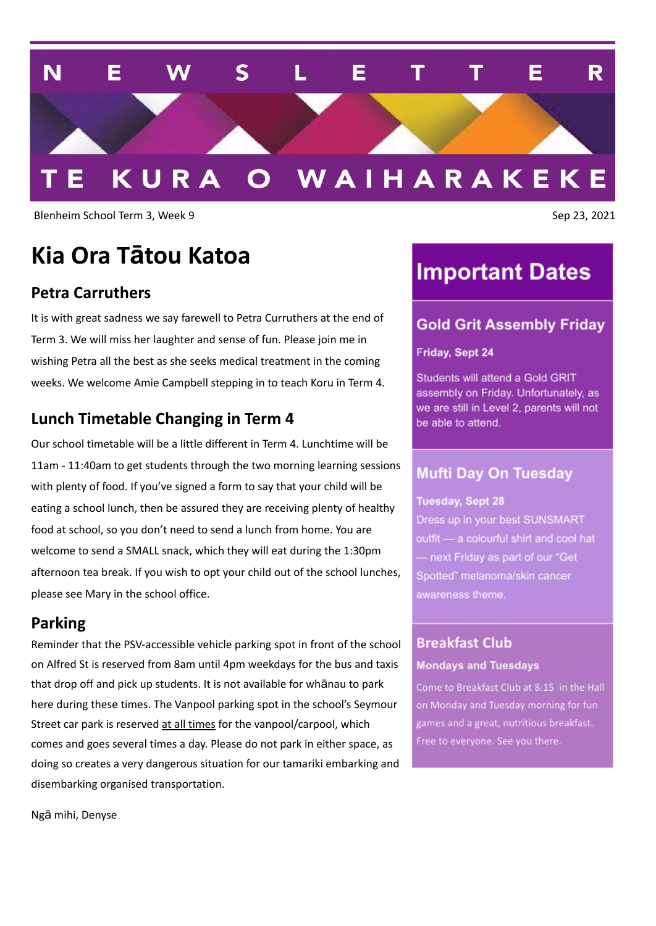

Blenheim School Term 3, Week 9 Sep 23, 2021

# **Kia Ora Tātou Katoa**

### **Petra Carruthers**

It is with great sadness we say farewell to Petra Curruthers at the end of Term 3. We will miss her laughter and sense of fun. Please join me in wishing Petra all the best as she seeks medical treatment in the coming weeks. We welcome Amie Campbell stepping in to teach Koru in Term 4.

### **Lunch Timetable Changing in Term 4**

Our school timetable will be a little different in Term 4. Lunchtime will be 11am - 11:40am to get students through the two morning learning sessions with plenty of food. If you've signed a form to say that your child will be eating a school lunch, then be assured they are receiving plenty of healthy food at school, so you don't need to send a lunch from home. You are welcome to send a SMALL snack, which they will eat during the 1:30pm afternoon tea break. If you wish to opt your child out of the school lunches, please see Mary in the school office.

#### **Parking**

Reminder that the PSV-accessible vehicle parking spot in front of the school on Alfred St is reserved from 8am until 4pm weekdays for the bus and taxis that drop off and pick up students. It is not available for whānau to park here during these times. The Vanpool parking spot in the school's Seymour Street car park is reserved at all times for the vanpool/carpool, which comes and goes several times a day. Please do not park in either space, as doing so creates a very dangerous situation for our tamariki embarking and disembarking organised transportation.

## **Important Dates**

#### **Gold Grit Assembly Friday**

#### Friday, Sept 24

Students will attend a Gold GRIT assembly on Friday. Unfortunately, as we are still in Level 2, parents will not be able to attend.

#### Mufti Day On Tuesday

#### **Tuesday, Sept 28**

Dress up in your best SUNSMART outfit - a colourful shirt and cool hat - next Friday as part of our "Get Spotted" melanoma/skin cancer

### **Breakfast Club Mondays and Tuesdays**

Come to Breakfast Club at 8:15 in the Hall on Monday and Tuesday morning for fun games and a great, nutritious breakfast. Free to everyone. See you there.

Ngā mihi, Denyse